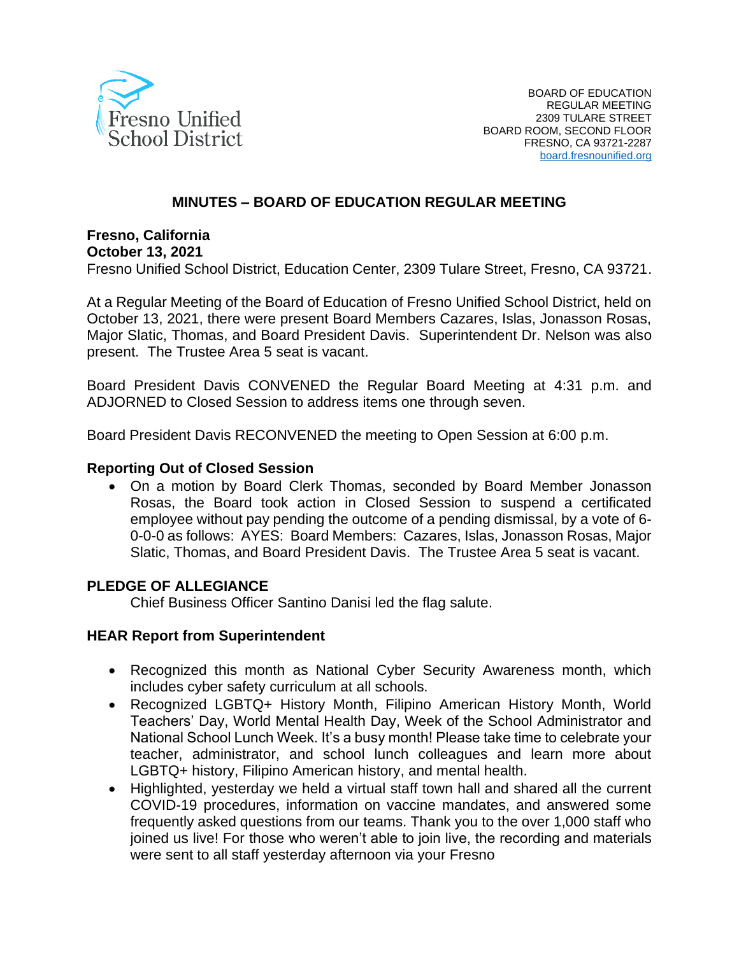

### **MINUTES – BOARD OF EDUCATION REGULAR MEETING**

**Fresno, California**

#### **October 13, 2021**

Fresno Unified School District, Education Center, 2309 Tulare Street, Fresno, CA 93721.

At a Regular Meeting of the Board of Education of Fresno Unified School District, held on October 13, 2021, there were present Board Members Cazares, Islas, Jonasson Rosas, Major Slatic, Thomas, and Board President Davis. Superintendent Dr. Nelson was also present. The Trustee Area 5 seat is vacant.

Board President Davis CONVENED the Regular Board Meeting at 4:31 p.m. and ADJORNED to Closed Session to address items one through seven.

Board President Davis RECONVENED the meeting to Open Session at 6:00 p.m.

#### **Reporting Out of Closed Session**

• On a motion by Board Clerk Thomas, seconded by Board Member Jonasson Rosas, the Board took action in Closed Session to suspend a certificated employee without pay pending the outcome of a pending dismissal, by a vote of 6- 0-0-0 as follows: AYES: Board Members: Cazares, Islas, Jonasson Rosas, Major Slatic, Thomas, and Board President Davis. The Trustee Area 5 seat is vacant.

#### **PLEDGE OF ALLEGIANCE**

Chief Business Officer Santino Danisi led the flag salute.

#### **HEAR Report from Superintendent**

- Recognized this month as National Cyber Security Awareness month, which includes cyber safety curriculum at all schools.
- Recognized LGBTQ+ History Month, Filipino American History Month, World Teachers' Day, World Mental Health Day, Week of the School Administrator and National School Lunch Week. It's a busy month! Please take time to celebrate your teacher, administrator, and school lunch colleagues and learn more about LGBTQ+ history, Filipino American history, and mental health.
- Highlighted, yesterday we held a virtual staff town hall and shared all the current COVID-19 procedures, information on vaccine mandates, and answered some frequently asked questions from our teams. Thank you to the over 1,000 staff who joined us live! For those who weren't able to join live, the recording and materials were sent to all staff yesterday afternoon via your Fresno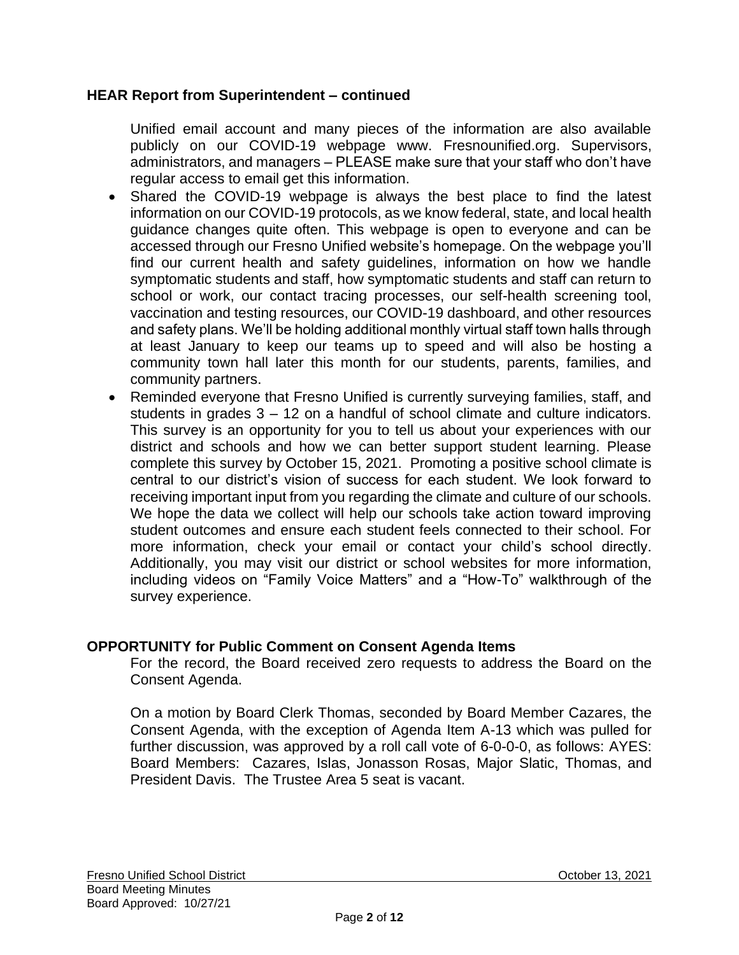### **HEAR Report from Superintendent – continued**

Unified email account and many pieces of the information are also available publicly on our COVID-19 webpage www. Fresnounified.org. Supervisors, administrators, and managers – PLEASE make sure that your staff who don't have regular access to email get this information.

- Shared the COVID-19 webpage is always the best place to find the latest information on our COVID-19 protocols, as we know federal, state, and local health guidance changes quite often. This webpage is open to everyone and can be accessed through our Fresno Unified website's homepage. On the webpage you'll find our current health and safety guidelines, information on how we handle symptomatic students and staff, how symptomatic students and staff can return to school or work, our contact tracing processes, our self-health screening tool, vaccination and testing resources, our COVID-19 dashboard, and other resources and safety plans. We'll be holding additional monthly virtual staff town halls through at least January to keep our teams up to speed and will also be hosting a community town hall later this month for our students, parents, families, and community partners.
- Reminded everyone that Fresno Unified is currently surveying families, staff, and students in grades  $3 - 12$  on a handful of school climate and culture indicators. This survey is an opportunity for you to tell us about your experiences with our district and schools and how we can better support student learning. Please complete this survey by October 15, 2021. Promoting a positive school climate is central to our district's vision of success for each student. We look forward to receiving important input from you regarding the climate and culture of our schools. We hope the data we collect will help our schools take action toward improving student outcomes and ensure each student feels connected to their school. For more information, check your email or contact your child's school directly. Additionally, you may visit our district or school websites for more information, including videos on "Family Voice Matters" and a "How-To" walkthrough of the survey experience.

### **OPPORTUNITY for Public Comment on Consent Agenda Items**

For the record, the Board received zero requests to address the Board on the Consent Agenda.

On a motion by Board Clerk Thomas, seconded by Board Member Cazares, the Consent Agenda, with the exception of Agenda Item A-13 which was pulled for further discussion, was approved by a roll call vote of 6-0-0-0, as follows: AYES: Board Members: Cazares, Islas, Jonasson Rosas, Major Slatic, Thomas, and President Davis. The Trustee Area 5 seat is vacant.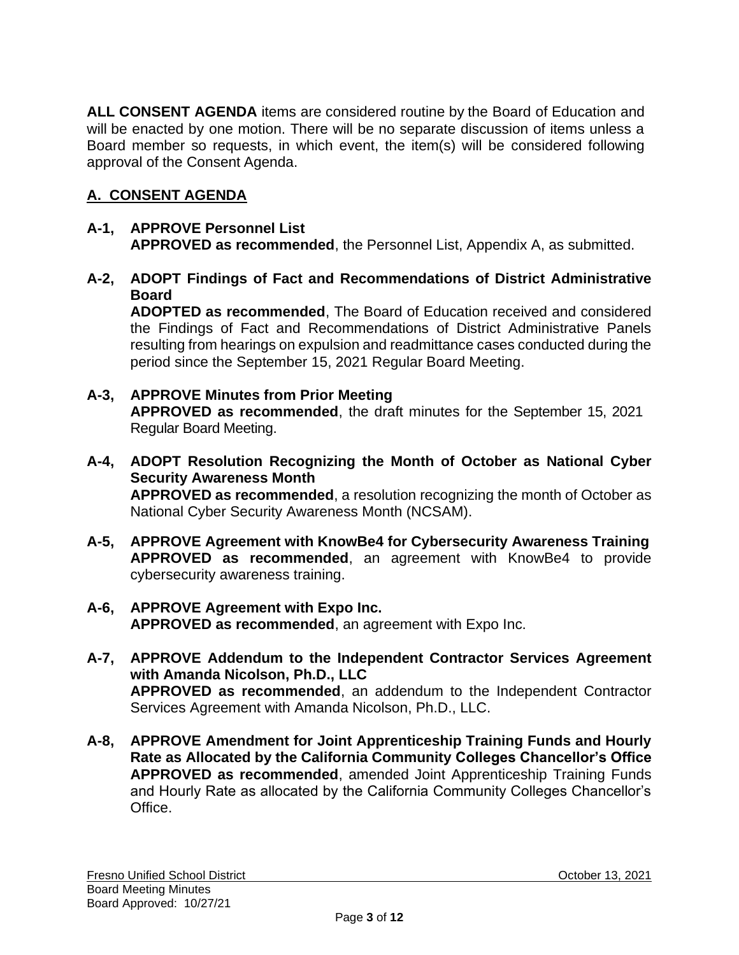**ALL CONSENT AGENDA** items are considered routine by the Board of Education and will be enacted by one motion. There will be no separate discussion of items unless a Board member so requests, in which event, the item(s) will be considered following approval of the Consent Agenda.

# **A. CONSENT AGENDA**

### **A-1, APPROVE Personnel List APPROVED as recommended**, the Personnel List, Appendix A, as submitted.

**A-2, ADOPT Findings of Fact and Recommendations of District Administrative Board**

**ADOPTED as recommended**, The Board of Education received and considered the Findings of Fact and Recommendations of District Administrative Panels resulting from hearings on expulsion and readmittance cases conducted during the period since the September 15, 2021 Regular Board Meeting.

- **A-3, APPROVE Minutes from Prior Meeting APPROVED as recommended**, the draft minutes for the September 15, 2021 Regular Board Meeting.
- **A-4, ADOPT Resolution Recognizing the Month of October as National Cyber Security Awareness Month APPROVED as recommended**, a resolution recognizing the month of October as

National Cyber Security Awareness Month (NCSAM).

- **A-5, APPROVE Agreement with KnowBe4 for Cybersecurity Awareness Training APPROVED as recommended**, an agreement with KnowBe4 to provide cybersecurity awareness training.
- **A-6, APPROVE Agreement with Expo Inc. APPROVED as recommended**, an agreement with Expo Inc.
- **A-7, APPROVE Addendum to the Independent Contractor Services Agreement with Amanda Nicolson, Ph.D., LLC APPROVED as recommended**, an addendum to the Independent Contractor Services Agreement with Amanda Nicolson, Ph.D., LLC.
- **A-8, APPROVE Amendment for Joint Apprenticeship Training Funds and Hourly Rate as Allocated by the California Community Colleges Chancellor's Office APPROVED as recommended**, amended Joint Apprenticeship Training Funds and Hourly Rate as allocated by the California Community Colleges Chancellor's Office.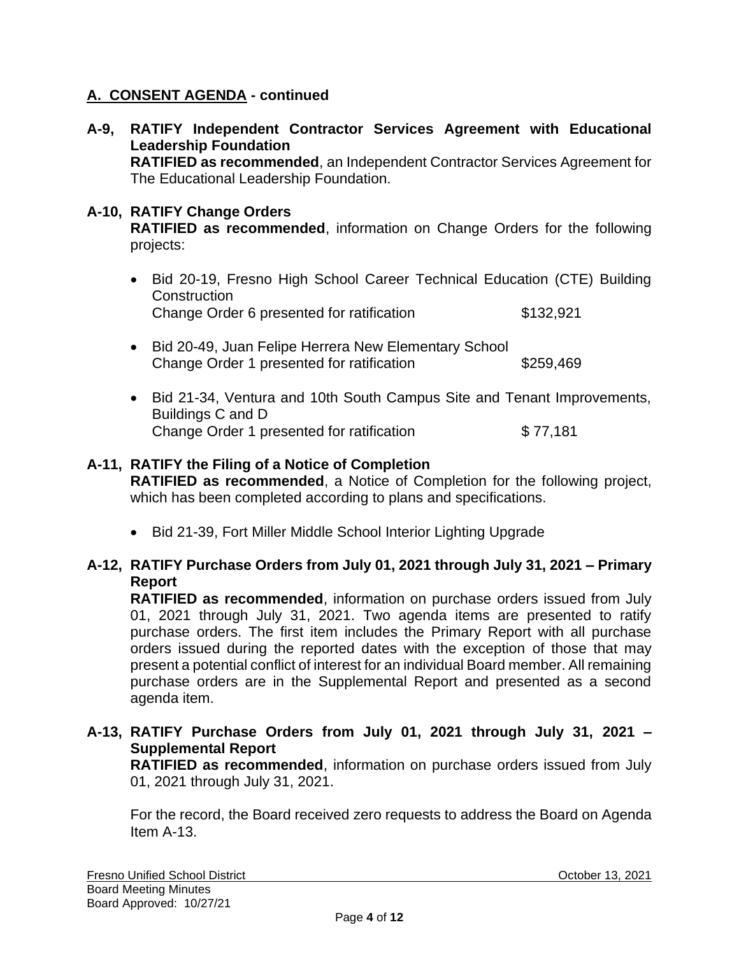### **A. CONSENT AGENDA - continued**

**A-9, RATIFY Independent Contractor Services Agreement with Educational Leadership Foundation**

**RATIFIED as recommended**, an Independent Contractor Services Agreement for The Educational Leadership Foundation.

### **A-10, RATIFY Change Orders**

**RATIFIED as recommended**, information on Change Orders for the following projects:

- Bid 20-19, Fresno High School Career Technical Education (CTE) Building **Construction** Change Order 6 presented for ratification  $$132,921$
- Bid 20-49, Juan Felipe Herrera New Elementary School Change Order 1 presented for ratification \$259,469
- Bid 21-34, Ventura and 10th South Campus Site and Tenant Improvements, Buildings C and D Change Order 1 presented for ratification \$77,181

#### **A-11, RATIFY the Filing of a Notice of Completion**

**RATIFIED as recommended**, a Notice of Completion for the following project, which has been completed according to plans and specifications.

• Bid 21-39, Fort Miller Middle School Interior Lighting Upgrade

### **A-12, RATIFY Purchase Orders from July 01, 2021 through July 31, 2021 – Primary Report**

**RATIFIED as recommended**, information on purchase orders issued from July 01, 2021 through July 31, 2021. Two agenda items are presented to ratify purchase orders. The first item includes the Primary Report with all purchase orders issued during the reported dates with the exception of those that may present a potential conflict of interest for an individual Board member. All remaining purchase orders are in the Supplemental Report and presented as a second agenda item.

### **A-13, RATIFY Purchase Orders from July 01, 2021 through July 31, 2021 – Supplemental Report**

**RATIFIED as recommended**, information on purchase orders issued from July 01, 2021 through July 31, 2021.

For the record, the Board received zero requests to address the Board on Agenda Item A-13.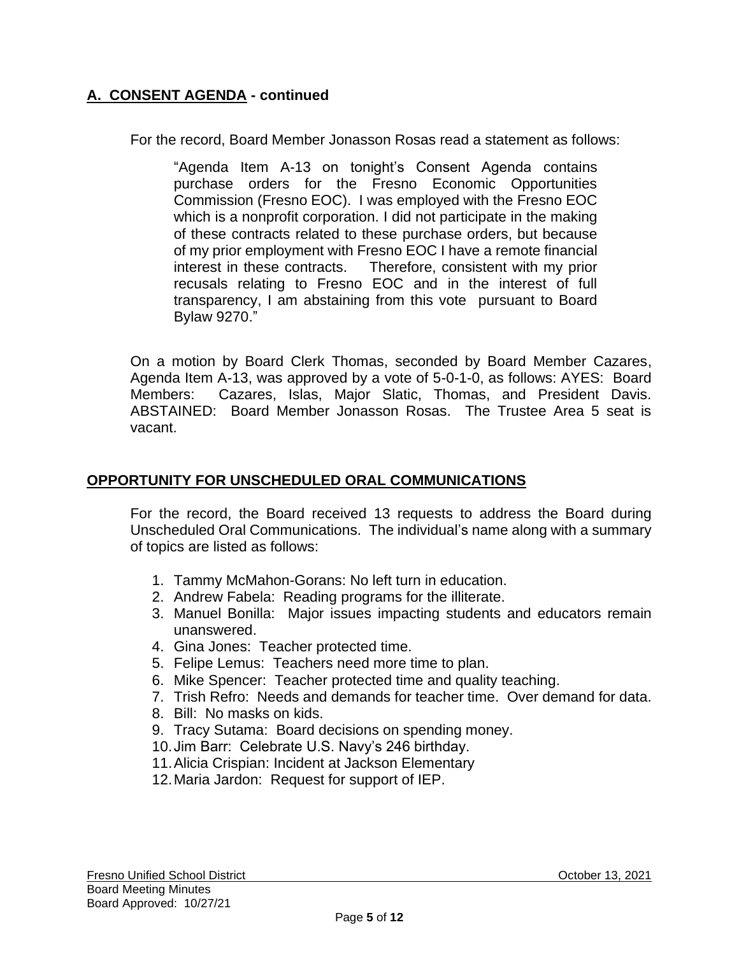## **A. CONSENT AGENDA - continued**

For the record, Board Member Jonasson Rosas read a statement as follows:

"Agenda Item A-13 on tonight's Consent Agenda contains purchase orders for the Fresno Economic Opportunities Commission (Fresno EOC). I was employed with the Fresno EOC which is a nonprofit corporation. I did not participate in the making of these contracts related to these purchase orders, but because of my prior employment with Fresno EOC I have a remote financial interest in these contracts. Therefore, consistent with my prior recusals relating to Fresno EOC and in the interest of full transparency, I am abstaining from this vote pursuant to Board Bylaw 9270."

On a motion by Board Clerk Thomas, seconded by Board Member Cazares, Agenda Item A-13, was approved by a vote of 5-0-1-0, as follows: AYES: Board Members: Cazares, Islas, Major Slatic, Thomas, and President Davis. ABSTAINED: Board Member Jonasson Rosas. The Trustee Area 5 seat is vacant.

### **OPPORTUNITY FOR UNSCHEDULED ORAL COMMUNICATIONS**

For the record, the Board received 13 requests to address the Board during Unscheduled Oral Communications. The individual's name along with a summary of topics are listed as follows:

- 1. Tammy McMahon-Gorans: No left turn in education.
- 2. Andrew Fabela: Reading programs for the illiterate.
- 3. Manuel Bonilla: Major issues impacting students and educators remain unanswered.
- 4. Gina Jones: Teacher protected time.
- 5. Felipe Lemus: Teachers need more time to plan.
- 6. Mike Spencer: Teacher protected time and quality teaching.
- 7. Trish Refro: Needs and demands for teacher time. Over demand for data.
- 8. Bill: No masks on kids.
- 9. Tracy Sutama: Board decisions on spending money.
- 10.Jim Barr: Celebrate U.S. Navy's 246 birthday.
- 11.Alicia Crispian: Incident at Jackson Elementary
- 12.Maria Jardon: Request for support of IEP.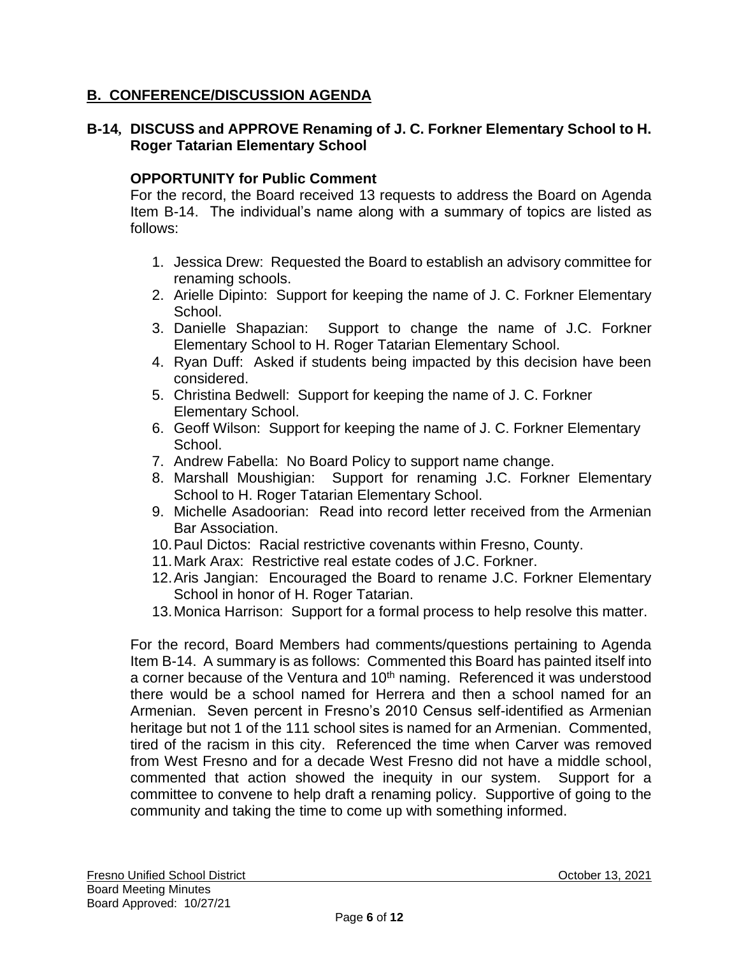## **B. CONFERENCE/DISCUSSION AGENDA**

### **B-14, DISCUSS and APPROVE Renaming of J. C. Forkner Elementary School to H. Roger Tatarian Elementary School**

### **OPPORTUNITY for Public Comment**

For the record, the Board received 13 requests to address the Board on Agenda Item B-14. The individual's name along with a summary of topics are listed as follows:

- 1. Jessica Drew: Requested the Board to establish an advisory committee for renaming schools.
- 2. Arielle Dipinto: Support for keeping the name of J. C. Forkner Elementary School.
- 3. Danielle Shapazian: Support to change the name of J.C. Forkner Elementary School to H. Roger Tatarian Elementary School.
- 4. Ryan Duff: Asked if students being impacted by this decision have been considered.
- 5. Christina Bedwell: Support for keeping the name of J. C. Forkner Elementary School.
- 6. Geoff Wilson: Support for keeping the name of J. C. Forkner Elementary School.
- 7. Andrew Fabella: No Board Policy to support name change.
- 8. Marshall Moushigian: Support for renaming J.C. Forkner Elementary School to H. Roger Tatarian Elementary School.
- 9. Michelle Asadoorian: Read into record letter received from the Armenian Bar Association.
- 10.Paul Dictos: Racial restrictive covenants within Fresno, County.
- 11.Mark Arax: Restrictive real estate codes of J.C. Forkner.
- 12.Aris Jangian: Encouraged the Board to rename J.C. Forkner Elementary School in honor of H. Roger Tatarian.
- 13.Monica Harrison: Support for a formal process to help resolve this matter.

For the record, Board Members had comments/questions pertaining to Agenda Item B-14. A summary is as follows: Commented this Board has painted itself into a corner because of the Ventura and 10<sup>th</sup> naming. Referenced it was understood there would be a school named for Herrera and then a school named for an Armenian. Seven percent in Fresno's 2010 Census self-identified as Armenian heritage but not 1 of the 111 school sites is named for an Armenian. Commented, tired of the racism in this city. Referenced the time when Carver was removed from West Fresno and for a decade West Fresno did not have a middle school, commented that action showed the inequity in our system. Support for a committee to convene to help draft a renaming policy. Supportive of going to the community and taking the time to come up with something informed.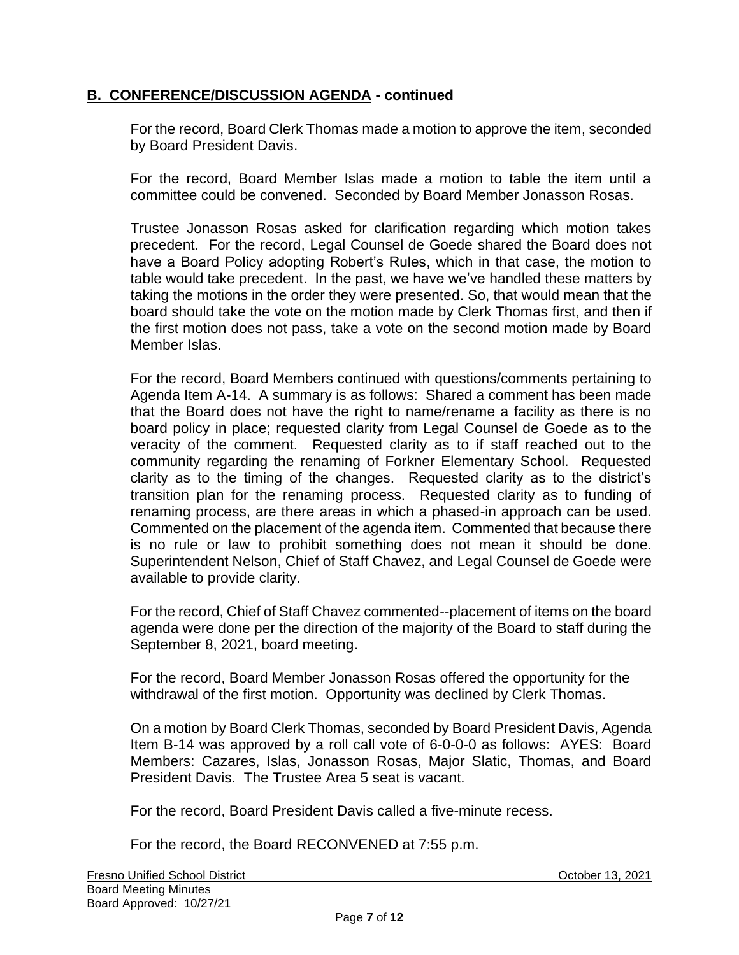For the record, Board Clerk Thomas made a motion to approve the item, seconded by Board President Davis.

For the record, Board Member Islas made a motion to table the item until a committee could be convened. Seconded by Board Member Jonasson Rosas.

Trustee Jonasson Rosas asked for clarification regarding which motion takes precedent. For the record, Legal Counsel de Goede shared the Board does not have a Board Policy adopting Robert's Rules, which in that case, the motion to table would take precedent. In the past, we have we've handled these matters by taking the motions in the order they were presented. So, that would mean that the board should take the vote on the motion made by Clerk Thomas first, and then if the first motion does not pass, take a vote on the second motion made by Board Member Islas.

For the record, Board Members continued with questions/comments pertaining to Agenda Item A-14. A summary is as follows: Shared a comment has been made that the Board does not have the right to name/rename a facility as there is no board policy in place; requested clarity from Legal Counsel de Goede as to the veracity of the comment. Requested clarity as to if staff reached out to the community regarding the renaming of Forkner Elementary School. Requested clarity as to the timing of the changes. Requested clarity as to the district's transition plan for the renaming process. Requested clarity as to funding of renaming process, are there areas in which a phased-in approach can be used. Commented on the placement of the agenda item. Commented that because there is no rule or law to prohibit something does not mean it should be done. Superintendent Nelson, Chief of Staff Chavez, and Legal Counsel de Goede were available to provide clarity.

For the record, Chief of Staff Chavez commented--placement of items on the board agenda were done per the direction of the majority of the Board to staff during the September 8, 2021, board meeting.

For the record, Board Member Jonasson Rosas offered the opportunity for the withdrawal of the first motion. Opportunity was declined by Clerk Thomas.

On a motion by Board Clerk Thomas, seconded by Board President Davis, Agenda Item B-14 was approved by a roll call vote of 6-0-0-0 as follows: AYES: Board Members: Cazares, Islas, Jonasson Rosas, Major Slatic, Thomas, and Board President Davis. The Trustee Area 5 seat is vacant.

For the record, Board President Davis called a five-minute recess.

For the record, the Board RECONVENED at 7:55 p.m.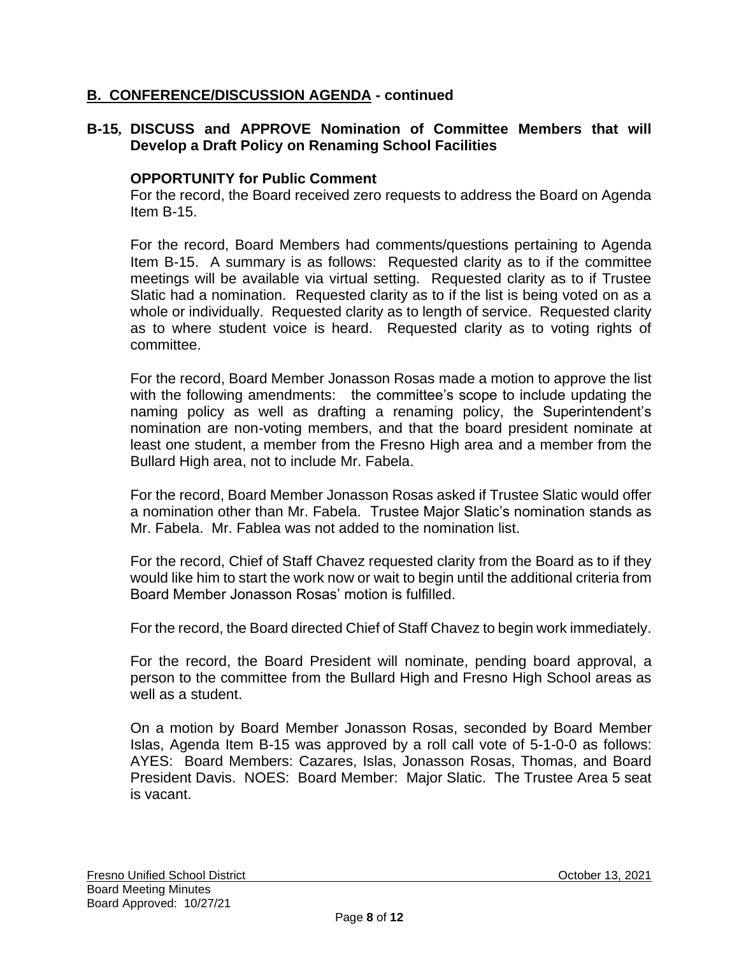### **B-15, DISCUSS and APPROVE Nomination of Committee Members that will Develop a Draft Policy on Renaming School Facilities**

### **OPPORTUNITY for Public Comment**

For the record, the Board received zero requests to address the Board on Agenda Item B-15.

For the record, Board Members had comments/questions pertaining to Agenda Item B-15. A summary is as follows: Requested clarity as to if the committee meetings will be available via virtual setting. Requested clarity as to if Trustee Slatic had a nomination. Requested clarity as to if the list is being voted on as a whole or individually. Requested clarity as to length of service. Requested clarity as to where student voice is heard. Requested clarity as to voting rights of committee.

For the record, Board Member Jonasson Rosas made a motion to approve the list with the following amendments: the committee's scope to include updating the naming policy as well as drafting a renaming policy, the Superintendent's nomination are non-voting members, and that the board president nominate at least one student, a member from the Fresno High area and a member from the Bullard High area, not to include Mr. Fabela.

For the record, Board Member Jonasson Rosas asked if Trustee Slatic would offer a nomination other than Mr. Fabela. Trustee Major Slatic's nomination stands as Mr. Fabela. Mr. Fablea was not added to the nomination list.

For the record, Chief of Staff Chavez requested clarity from the Board as to if they would like him to start the work now or wait to begin until the additional criteria from Board Member Jonasson Rosas' motion is fulfilled.

For the record, the Board directed Chief of Staff Chavez to begin work immediately.

For the record, the Board President will nominate, pending board approval, a person to the committee from the Bullard High and Fresno High School areas as well as a student.

On a motion by Board Member Jonasson Rosas, seconded by Board Member Islas, Agenda Item B-15 was approved by a roll call vote of 5-1-0-0 as follows: AYES: Board Members: Cazares, Islas, Jonasson Rosas, Thomas, and Board President Davis. NOES: Board Member: Major Slatic. The Trustee Area 5 seat is vacant.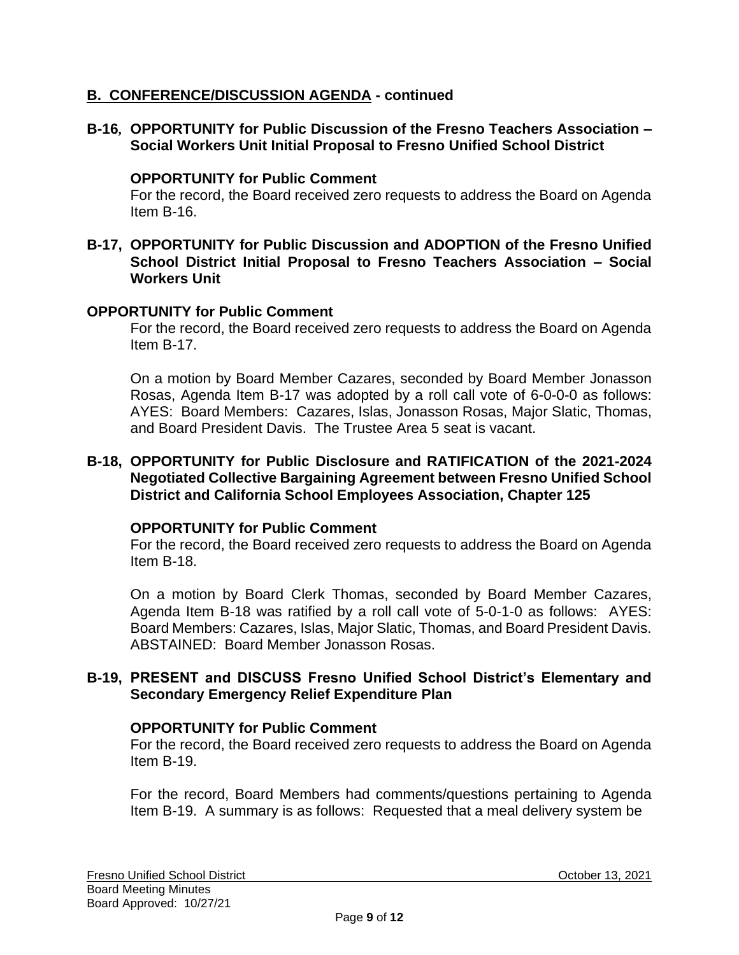**B-16, OPPORTUNITY for Public Discussion of the Fresno Teachers Association – Social Workers Unit Initial Proposal to Fresno Unified School District**

#### **OPPORTUNITY for Public Comment**

For the record, the Board received zero requests to address the Board on Agenda Item B-16.

#### **B-17, OPPORTUNITY for Public Discussion and ADOPTION of the Fresno Unified School District Initial Proposal to Fresno Teachers Association – Social Workers Unit**

#### **OPPORTUNITY for Public Comment**

For the record, the Board received zero requests to address the Board on Agenda Item B-17.

On a motion by Board Member Cazares, seconded by Board Member Jonasson Rosas, Agenda Item B-17 was adopted by a roll call vote of 6-0-0-0 as follows: AYES: Board Members: Cazares, Islas, Jonasson Rosas, Major Slatic, Thomas, and Board President Davis. The Trustee Area 5 seat is vacant.

#### **B-18, OPPORTUNITY for Public Disclosure and RATIFICATION of the 2021-2024 Negotiated Collective Bargaining Agreement between Fresno Unified School District and California School Employees Association, Chapter 125**

#### **OPPORTUNITY for Public Comment**

For the record, the Board received zero requests to address the Board on Agenda Item B-18.

On a motion by Board Clerk Thomas, seconded by Board Member Cazares, Agenda Item B-18 was ratified by a roll call vote of 5-0-1-0 as follows: AYES: Board Members: Cazares, Islas, Major Slatic, Thomas, and Board President Davis. ABSTAINED: Board Member Jonasson Rosas.

### **B-19, PRESENT and DISCUSS Fresno Unified School District's Elementary and Secondary Emergency Relief Expenditure Plan**

#### **OPPORTUNITY for Public Comment**

For the record, the Board received zero requests to address the Board on Agenda Item B-19.

For the record, Board Members had comments/questions pertaining to Agenda Item B-19. A summary is as follows: Requested that a meal delivery system be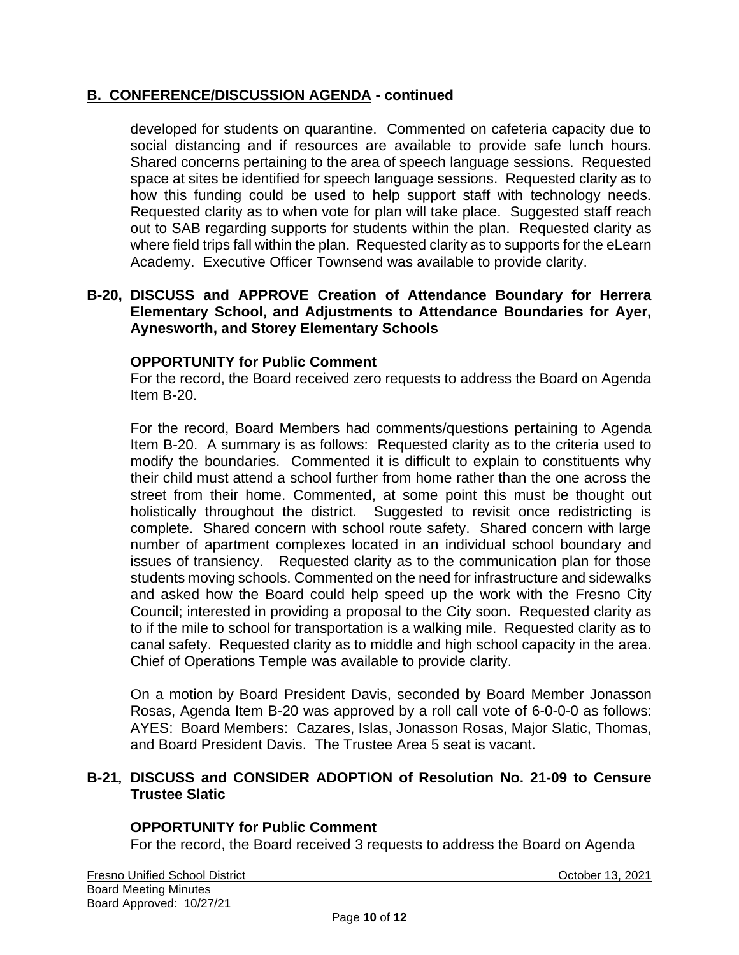developed for students on quarantine. Commented on cafeteria capacity due to social distancing and if resources are available to provide safe lunch hours. Shared concerns pertaining to the area of speech language sessions. Requested space at sites be identified for speech language sessions. Requested clarity as to how this funding could be used to help support staff with technology needs. Requested clarity as to when vote for plan will take place. Suggested staff reach out to SAB regarding supports for students within the plan. Requested clarity as where field trips fall within the plan. Requested clarity as to supports for the eLearn Academy. Executive Officer Townsend was available to provide clarity.

#### **B-20, DISCUSS and APPROVE Creation of Attendance Boundary for Herrera Elementary School, and Adjustments to Attendance Boundaries for Ayer, Aynesworth, and Storey Elementary Schools**

### **OPPORTUNITY for Public Comment**

For the record, the Board received zero requests to address the Board on Agenda Item B-20.

For the record, Board Members had comments/questions pertaining to Agenda Item B-20. A summary is as follows: Requested clarity as to the criteria used to modify the boundaries. Commented it is difficult to explain to constituents why their child must attend a school further from home rather than the one across the street from their home. Commented, at some point this must be thought out holistically throughout the district. Suggested to revisit once redistricting is complete. Shared concern with school route safety. Shared concern with large number of apartment complexes located in an individual school boundary and issues of transiency. Requested clarity as to the communication plan for those students moving schools. Commented on the need for infrastructure and sidewalks and asked how the Board could help speed up the work with the Fresno City Council; interested in providing a proposal to the City soon. Requested clarity as to if the mile to school for transportation is a walking mile. Requested clarity as to canal safety. Requested clarity as to middle and high school capacity in the area. Chief of Operations Temple was available to provide clarity.

On a motion by Board President Davis, seconded by Board Member Jonasson Rosas, Agenda Item B-20 was approved by a roll call vote of 6-0-0-0 as follows: AYES: Board Members: Cazares, Islas, Jonasson Rosas, Major Slatic, Thomas, and Board President Davis. The Trustee Area 5 seat is vacant.

#### **B-21, DISCUSS and CONSIDER ADOPTION of Resolution No. 21-09 to Censure Trustee Slatic**

### **OPPORTUNITY for Public Comment**

For the record, the Board received 3 requests to address the Board on Agenda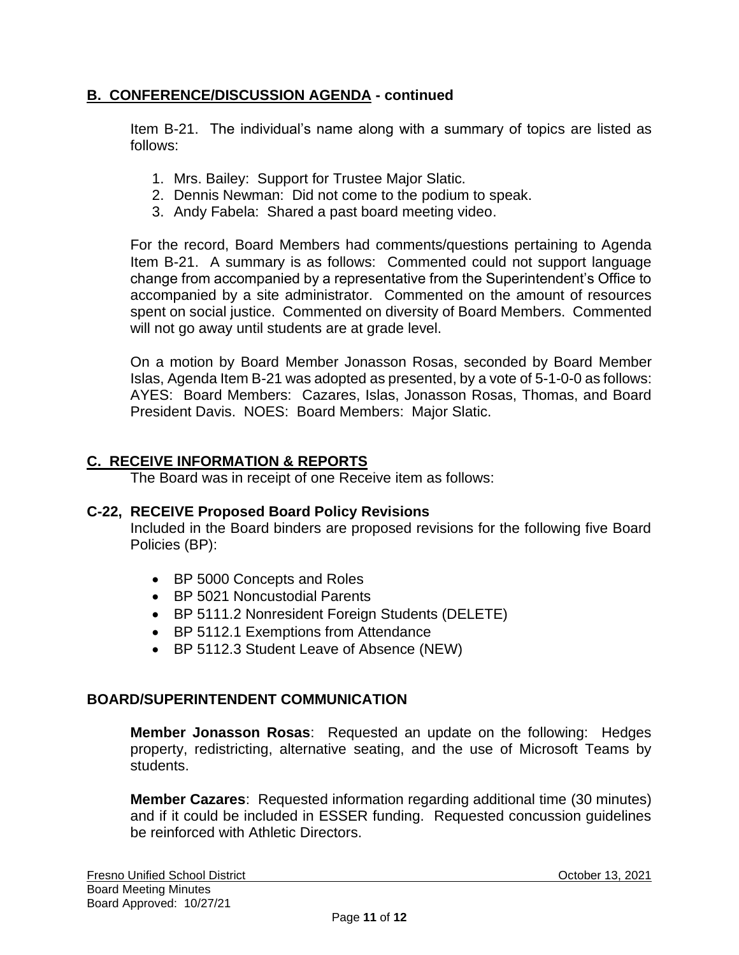Item B-21. The individual's name along with a summary of topics are listed as follows:

- 1. Mrs. Bailey: Support for Trustee Major Slatic.
- 2. Dennis Newman: Did not come to the podium to speak.
- 3. Andy Fabela: Shared a past board meeting video.

For the record, Board Members had comments/questions pertaining to Agenda Item B-21. A summary is as follows: Commented could not support language change from accompanied by a representative from the Superintendent's Office to accompanied by a site administrator. Commented on the amount of resources spent on social justice. Commented on diversity of Board Members. Commented will not go away until students are at grade level.

On a motion by Board Member Jonasson Rosas, seconded by Board Member Islas, Agenda Item B-21 was adopted as presented, by a vote of 5-1-0-0 as follows: AYES: Board Members: Cazares, Islas, Jonasson Rosas, Thomas, and Board President Davis. NOES: Board Members: Major Slatic.

### **C. RECEIVE INFORMATION & REPORTS**

The Board was in receipt of one Receive item as follows:

#### **C-22, RECEIVE Proposed Board Policy Revisions**

Included in the Board binders are proposed revisions for the following five Board Policies (BP):

- BP 5000 Concepts and Roles
- BP 5021 Noncustodial Parents
- BP 5111.2 Nonresident Foreign Students (DELETE)
- BP 5112.1 Exemptions from Attendance
- BP 5112.3 Student Leave of Absence (NEW)

#### **BOARD/SUPERINTENDENT COMMUNICATION**

**Member Jonasson Rosas**: Requested an update on the following: Hedges property, redistricting, alternative seating, and the use of Microsoft Teams by students.

**Member Cazares**: Requested information regarding additional time (30 minutes) and if it could be included in ESSER funding. Requested concussion guidelines be reinforced with Athletic Directors.